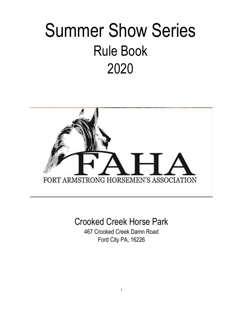# Summer Show Series Rule Book 2020



## Crooked Creek Horse Park

467 Crooked Creek Damn Road Ford City PA, 16226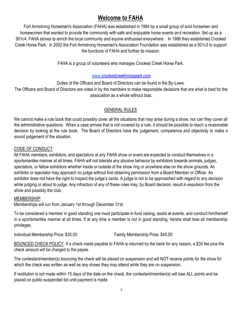## **Welcome to FAHA**

Fort Armstrong Horsemen's Association (FAHA) was established in 1984 by a small group of avid horsemen and horsewomen that wanted to provide the community with safe and enjoyable horse events and recreation. Set up as a 501c4, FAHA strives to enrich the local community and equine enthusiast everywhere. In 1986 they established Crooked Creek Horse Park. In 2002 the Fort Armstrong Horsemen's Association Foundation was established as a 501c3 to support the functions of FAHA and further its mission.

FAHA is a group of volunteers who manages Crooked Creek Horse Park.

#### [www.c](http://www./)rookedcreekhorsepark.com

Duties of the Officers and Board of Directors can be found in the By-Laws.

The Officers and Board of Directors are voted in by the members to make responsible decisions that are what is best for the association as a whole without bias.

#### GENERAL RULES

We cannot make a rule book that could possibly cover all the situations that may arise during a show, nor can they cover all the administrative questions. When a case arrives that is not covered by a rule, it should be possible to reach a reasonable decision by looking at the rule book. The Board of Directors have the judgement, competence and objectivity to make a sound judgement of the situation.

#### CODE OF CONDUCT:

All FAHA members, exhibitors, and spectators at any FAHA show or event are expected to conduct themselves in a sportsmanlike manner at all times. FAHA will not tolerate any abusive behavior by exhibitors towards animals, judges, spectators, or fellow exhibitors whether inside or outside of the show ring or anywhere else on the show grounds. An exhibitor or spectator may approach no judge without first obtaining permission from a Board Member or Officer. An exhibitor does not have the right to inspect the judge's cards. A judge is not to be approached with regard to any decision while judging or about to judge. Any infraction of any of these rules may, by Board decision, result in expulsion from the show and possibly the club.

#### MEMBERSHIP:

Memberships will run from January 1st through December 31st.

To be considered a member in good standing one must participate in fund raising, assist at events, and conduct him/herself in a sportsmanlike manner at all times. If at any time a member is not in good standing, he/she shall lose all membership privileges.

Individual Membership Price: \$35.00 Family Membership Price: \$45.00

BOUNCED CHECK POLICY: If a check made payable to FAHA is returned by the bank for any reason, a \$35 fee plus the check amount will be charged to the payee.

The contestant/member(s) bouncing the check will be placed on suspension and will NOT receive points for the show for which the check was written as well as any shows they may attend while they are on suspension.

If restitution is not made within 15 days of the date on the check, the contestant/member(s) will lose ALL points and be placed on public suspended list until payment is made.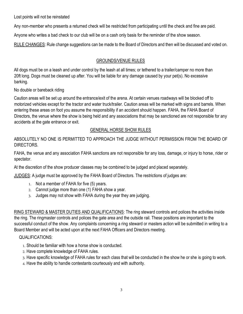Lost points will not be reinstated

Any non-member who presents a returned check will be restricted from participating until the check and fine are paid.

Anyone who writes a bad check to our club will be on a cash only basis for the reminder of the show season.

RULE CHANGES: Rule change suggestions can be made to the Board of Directors and then will be discussed and voted on.

### GROUNDS/VENUE RULES

All dogs must be on a leash and under control by the leash at all times; or tethered to a trailer/camper no more than 20ft long. Dogs must be cleaned up after. You will be liable for any damage caused by your pet(s). No excessive barking.

No double or bareback riding

Caution areas will be set up around the entrance/exit of the arena. At certain venues roadways will be blocked off to motorized vehicles except for the tractor and water truck/trailer. Caution areas will be marked with signs and barrels. When entering these areas on foot you assume the responsibility if an accident should happen. FAHA, the FAHA Board of Directors, the venue where the show is being held and any associations that may be sanctioned are not responsible for any accidents at the gate entrance or exit.

### GENERAL HORSE SHOW RULES

ABSOLUTELY NO ONE IS PERMITTED TO APPROACH THE JUDGE WITHOUT PERMISSION FROM THE BOARD OF DIRECTORS.

FAHA, the venue and any association FAHA sanctions are not responsible for any loss, damage, or injury to horse, rider or spectator.

At the discretion of the show producer classes may be combined to be judged and placed separately.

JUDGES: A judge must be approved by the FAHA Board of Directors. The restrictions of judges are:

- 1. Not a member of FAHA for five (5) years.
- 2. Cannot judge more than one (1) FAHA show a year.
- 3. Judges may not show with FAHA during the year they are judging.

RING STEWARD & MASTER DUTIES AND QUALIFICATIONS: The ring steward controls and polices the activities inside the ring. The ringmaster controls and polices the gate area and the outside rail. These positions are important to the successful conduct of the show. Any complaints concerning a ring steward or masters action will be submitted in writing to a Board Member and will be acted upon at the next FAHA Officers and Directors meeting.

### QUALIFICATIONS:

- 1. Should be familiar with how a horse show is conducted.
- 2. Have complete knowledge of FAHA rules.

3. Have specific knowledge of FAHA rules for each class that will be conducted in the show he or she is going to work.

4. Have the ability to handle contestants courteously and with authority.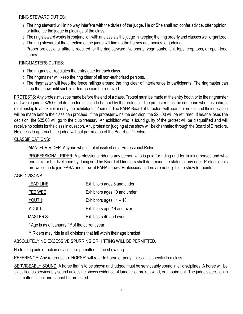#### RING STEWARD DUTIES:

- 1. The ring steward will in no way interfere with the duties of the judge. He or She shall not confer advice, offer opinion, or influence the judge in placings of the class.
- 2. The ring steward works in conjunction with and assists the judge in keeping the ring orderly and classes well organized.
- 3. The ring steward at the direction of the judge will line up the horses and ponies for judging.
- 4. Proper professional attire is required for the ring steward. No shorts, yoga pants, tank tops, crop tops, or open toed shoes.

#### RINGMASTERS DUTIES:

- 1. The ringmaster regulates the entry gate for each class.
- 2. The ringmaster will keep the ring clear of all non-authorized persons.
- 3. The ringmaster will keep the fence railings around the ring clear of interference to participants. The ringmaster can stop the show until such interference can be removed.

PROTESTS: Any protest must be made before the end of a class. Protest must be made at the entry booth or to the ringmaster and will require a \$25.00 arbitration fee in cash to be paid by the protester. The protester must be someone who has a direct relationship to an exhibitor or by the exhibitor him/herself. The FAHA Board of Directors will hear the protest and their decision will be made before the class can proceed. If the protester wins the decision, the \$25.00 will be returned. If he/she loses the decision, the \$25.00 will go to the club treasury. An exhibitor who is found guilty of the protest will be disqualified and will receive no points for the class in question. Any protest on judging at the show will be channeled through the Board of Directors. No one is to approach the judge without permission of the Board of Directors.

#### CLASSIFICATIONS:

AMATEUR RIDER: Anyone who is not classified as a Professional Rider.

PROFESSIONAL RIDER: A professional rider is any person who is paid for riding and for training horses and who earns his or her livelihood by doing so. The Board of Directors shall determine the status of any rider. Professionals are welcome to join FAHA and show at FAHA shows. Professional riders are not eligible to show for points.

#### AGE DIVISONS:

| LEAD LINE: | Exhibitors ages 8 and under  |
|------------|------------------------------|
| PEE WEE:   | Exhibitors ages 10 and under |
| YOUTH:     | Exhibitors ages $11 - 18$    |
| ADULT:     | Exhibitors age 19 and over   |
| MASTER'S:  | Exhibitors 40 and over       |

\* Age is as of January 1st of the current year.

\*\* Riders may ride in all divisions that fall within their age bracket

ABSOLUTELY NO EXCESSIVE SPURRING OR HITTING WILL BE PERMITTED.

No training aids or action devices are permitted in the show ring.

REFERENCE: Any reference to "HORSE" will refer to horse or pony unless it is specific to a class.

SERVICEABLY SOUND: A horse that is to be shown and judged must be serviceably sound in all disciplines. A horse will be classified as serviceably sound unless he shows evidence of lameness, broken wind, or impairment. The judge's decision in this matter is final and cannot be protested.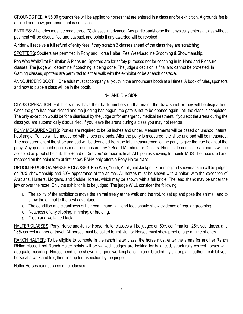GROUNDS FEE: A \$5.00 grounds fee will be applied to horses that are entered in a class and/or exhibition. A grounds fee is applied per show, per horse, that is not stalled.

ENTRIES: All entries must be made three (3) classes in advance. Any participant/horse that physically enters a class without payment will be disqualified and payback and points if any awarded will be revoked.

A rider will receive a full refund of entry fees if they scratch 3 classes ahead of the class they are scratching

SPOTTERS: Spotters are permitted in Pony and Horse Halter, Pee Wee/Leadline Grooming & Showmanship,

Pee Wee Walk/Trot Equitation & Pleasure. Spotters are for safety purposes not for coaching in In-Hand and Pleasure classes. The judge will determine if coaching is being done. The judge's decision is final and cannot be protested. In Gaming classes, spotters are permitted to either walk with the exhibitor or be at each obstacle.

ANNOUNCERS BOOTH: One adult must accompany all youth in the announcers booth at all times. A book of rules, sponsors and how to place a class will be in the booth.

### IN-HAND DIVISION

CLASS OPERATION: Exhibitors must have their back numbers on that match the draw sheet or they will be disqualified. Once the gate has been closed and the judging has begun, the gate is not to be opened again until the class is completed. The only exception would be for a dismissal by the judge or for emergency medical treatment. If you exit the arena during the class you are automatically disqualified. If you leave the arena during a class you may not reenter.

PONY MEASUREMENTS: Ponies are required to be 58 inches and under. Measurements will be based on unshod, natural hoof angle. Ponies will be measured with shoes and pads. After the pony is measured, the shoe and pad will be measured. The measurement of the shoe and pad will be deducted from the total measurement of the pony to give the true height of the pony. Any questionable ponies must be measured by 2 Board Members or Officers. No outside certificates or cards will be accepted as proof of height. The Board of Directors' decision is final. ALL ponies showing for points MUST be measured and recorded on the point form at first show. FAHA only offers a Pony Halter class.

GROOMING & SHOWMANSHIP CLASSES: Pee Wee, Youth, Adult, and Jackpot. Grooming and showmanship will be judged on 70% showmanship and 30% appearance of the animal. All horses must be shown with a halter, with the exception of Arabians, Hunters, Morgans, and Saddle Horses, which may be shown with a full bridle. The lead shank may be under the jaw or over the nose. Only the exhibitor is to be judged. The judge WILL consider the following:

- 1. The ability of the exhibitor to move the animal freely at the walk and the trot, to set up and pose the animal, and to show the animal to the best advantage.
- 2. The condition and cleanliness of hair coat, mane, tail, and feet, should show evidence of regular grooming.
- 3. Neatness of any clipping, trimming, or braiding.
- 4. Clean and well-fitted tack.

HALTER CLASSES: Pony, Horse and Junior Horse. Halter classes will be judged on 50% confirmation, 25% soundness, and 25% correct manner of travel. All horses must be asked to trot. Junior Horses must show proof of age at time of entry.

RANCH HALTER: To be eligible to compete in the ranch halter class, the horse must enter the arena for another Ranch Riding class, if not Ranch Halter points will be waived. Judges are looking for balanced, structurally correct horses with adequate muscling. Horses need to be shown in a good working halter – rope, braided, nylon, or plain leather – exhibit your horse at a walk and trot, then line up for inspection by the judge.

Halter Horses cannot cross enter classes.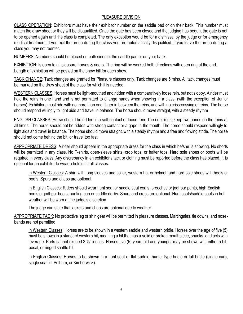#### PLEASURE DIVISION

CLASS OPERATION: Exhibitors must have their exhibitor number on the saddle pad or on their back. This number must match the draw sheet or they will be disqualified. Once the gate has been closed and the judging has begun, the gate is not to be opened again until the class is completed. The only exception would be for a dismissal by the judge or for emergency medical treatment. If you exit the arena during the class you are automatically disqualified. If you leave the arena during a class you may not reenter.

NUMBERS: Numbers should be placed on both sides of the saddle pad or on your back.

EXHIBITION: Is open to all pleasure horses & riders. The ring will be worked both directions with open ring at the end. Length of exhibition will be posted on the show bill for each show.

TACK CHANGE: Tack changes are granted for Pleasure classes only. Tack changes are 5 mins. All tack changes must be marked on the draw sheet of the class for which it is needed.

WESTERN CLASSES: Horses must be light-mouthed and ridden with a comparatively loose rein, but not sloppy. A rider must hold the reins in one hand and is not permitted to change hands when showing in a class, (with the exception of Junior horses). Exhibitors must ride with no more than one finger in between the reins, and with no crisscrossing of reins. The horse should respond willingly to light aids and travel in balance. The horse should move straight, with a steady rhythm.

ENGLISH CLASSES: Horse should be ridden in a soft contact or loose rein. The rider must keep two hands on the reins at all times. The horse should not be ridden with strong contact or a gape in the mouth. The horse should respond willingly to light aids and travel in balance. The horse should move straight, with a steady rhythm and a free and flowing stride. The horse should not come behind the bit, or travel too fast.

APPROPRIATE DRESS: A rider should appear in the appropriate dress for the class in which he/she is showing. No shorts will be permitted in any class. No T-shirts, open-sleeve shirts, crop tops, or halter tops. Hard sole shoes or boots will be required in every class. Any discrepancy in an exhibitor's tack or clothing must be reported before the class has placed. It is optional for an exhibitor to wear a helmet in all classes.

In Western Classes: A shirt with long sleeves and collar, western hat or helmet, and hard sole shoes with heels or boots. Spurs and chaps are optional.

In English Classes: Riders should wear hunt seat or saddle seat coats, breeches or jodhpur pants, high English boots or jodhpur boots, hunting cap or saddle derby. Spurs and crops are optional. Hunt coats/saddle coats in hot weather will be worn at the judge's discretion

The judge can state that jackets and chaps are optional due to weather.

APPROPRIATE TACK: No protective leg or shin gear will be permitted in pleasure classes. Martingales, tie downs, and nosebands are not permitted.

In Western Classes: Horses are to be shown in a western saddle and western bridle. Horses over the age of five (5) must be shown in a standard western bit, meaning a bit that has a solid or broken mouthpiece, shanks, and acts with leverage. Ports cannot exceed 3 ½" inches. Horses five (5) years old and younger may be shown with either a bit, bosal, or ringed snaffle bit.

In English Classes: Horses to be shown in a hunt seat or flat saddle, hunter type bridle or full bridle (single curb, single snaffle, Pelham, or Kimberwick).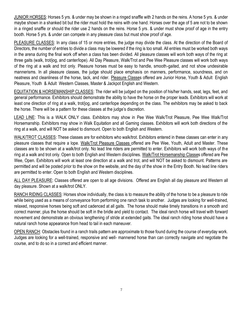JUNIOR HORSES: Horses 5 yrs. & under may be shown in a ringed snaffle with 2 hands on the reins. A horse 5 yrs. & under maybe shown in a shanked bit but the rider must hold the reins with one hand. Horses over the age of 5 are not to be shown in a ringed snaffle or should the rider use 2 hands on the reins. Horse 5 yrs. & under must show proof of age in the entry booth. Horse 5 yrs. & under can compete in any pleasure class but must show proof of age.

PLEASURE CLASSES: In any class of 15 or more entries, the judge may divide the class. At the direction of the Board of Directors, the number of entries to divide a class may be lowered if the ring is too small. All entries must be worked both ways in the arena during the final work off when a class has been divided. All pleasure classes will work both ways of the ring at three gaits (walk, trot/jog, and canter/lope). All Day Pleasure, Walk/Trot and Pee Wee Pleasure classes will work both ways of the ring at a walk and trot only. Pleasure horses must be easy to handle, smooth-gaited, and not show undesirable mannerisms. In all pleasure classes, the judge should place emphasis on manners, performance, soundness, and on neatness and cleanliness of the horse, tack, and rider. Pleasure Classes offered are Junior Horse, Youth & Adult English Pleasure, Youth & Adult Western Classes, Master & Jackpot English and Western.

EQUITATION & HORSEMANSHIP CLASSES: The rider will be judged on the position of his/her hands, seat, legs, feet, and general performance. Exhibitors should demonstrate the ability to have the horse on the proper leads. Exhibitors will work at least one direction of ring at a walk, trot/jog, and canter/lope depending on the class. The exhibitors may be asked to back the horse. There will be a pattern for these classes at the judge's discretion.

LEAD LINE: This is a WALK ONLY class. Exhibitors may show in Pee Wee Walk/Trot Pleasure, Pee Wee Walk/Trot Horsemanship. Exhibitors may show in Walk Equitation and all Gaming classes. Exhibitors will work both directions of the ring at a walk, and will NOT be asked to dismount. Open to both English and Western.

WALK/TROT CLASSES: These classes are for exhibitors who walk/trot. Exhibitors entered in these classes can enter in any pleasure classes that require a lope. Walk/Trot Pleasure Classes offered are Pee Wee, Youth, Adult and Master. These classes are to be shown at a walk/trot only. No lead line riders are permitted to enter. Exhibitors will work both ways of the ring at a walk and trot only. Open to both English and Western disciplines. Walk/Trot Horsemanship Classes offered are Pee Wee, Open. Exhibitors will work at least one direction at a walk and trot, and will NOT be asked to dismount. Patterns are permitted and will be posted prior to the show on the website, and the day of the show in the Entry Booth. No lead line riders are permitted to enter. Open to both English and Western disciplines.

ALL DAY PLEASURE: Classes offered are open to all age divisions. Offered are English all day pleasure and Western all day pleasure. Shown at a walk/trot ONLY.

RANCH RIDING CLASSES: Horses show individually, the class is to measure the ability of the horse to be a pleasure to ride while being used as a means of conveyance from performing one ranch task to another. Judges are looking for well-trained, relaxed, responsive horses being soft and cadenced at all gaits. The horse should make timely transitions in a smooth and correct manner, plus the horse should be soft in the bridle and yield to contact. The ideal ranch horse will travel with forward movement and demonstrate an obvious lengthening of stride at extended gaits. The ideal ranch riding horse should have a natural ranch horse appearance from head to tail in each maneuver.

OPEN RANCH: Obstacles found in a ranch trails pattern are approximate to those found during the course of everyday work. Judges are looking for a well-trained, responsive and well- mannered horse than can correctly navigate and negotiate the course, and to do so in a correct and efficient manner.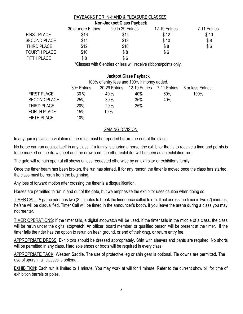#### PAYBACKS FOR IN-HAND & PLEASURE CLASSES: **Non-Jackpot Class Payback**

| <u>NUIL-JACKDUL GIASS FAYDACK</u> |                    |                  |               |              |
|-----------------------------------|--------------------|------------------|---------------|--------------|
|                                   | 30 or more Entries | 20 to 29 Entries | 12-19 Entries | 7-11 Entries |
| <b>FIRST PLACE</b>                | \$16               | \$14             | \$12          | \$10         |
| <b>SECOND PLACE</b>               | \$14               | \$12             | \$10          | \$8          |
| THIRD PLACE                       | \$12               | \$10             | \$8           | \$6          |
| <b>FOURTH PLACE</b>               | \$10               | \$8              | \$6           |              |
| <b>FIFTH PLACE</b>                | \$8                | \$6              |               |              |

\*Classes with 6 entries or less will receive ribbons/points only.

#### **Jackpot Class Payback**

|                     | 100% of entry fees and 100% if money added. |      |                                          |        |                   |
|---------------------|---------------------------------------------|------|------------------------------------------|--------|-------------------|
|                     | 30+ Entries                                 |      | 20-29 Entries 12-19 Entries 7-11 Entries |        | 6 or less Entries |
| <b>FIRST PLACE</b>  | $30\%$                                      | 40 % | 40%                                      | $60\%$ | 100%              |
| <b>SECOND PLACE</b> | 25%                                         | 30%  | 35%                                      | 40%    |                   |
| THIRD PLACE         | <b>20%</b>                                  | 20%  | 25%                                      |        |                   |
| <b>FORTH PLACE</b>  | 15%                                         | 10%  |                                          |        |                   |
| <b>FIFTH PLACE</b>  | 10%                                         |      |                                          |        |                   |

#### GAMING DIVISION

In any gaming class, a violation of the rules must be reported before the end of the class.

No horse can run against itself in any class. If a family is sharing a horse, the exhibitor that is to receive a time and points is to be marked on the draw sheet and the draw card, the other exhibitor will be seen as an exhibition run.

The gate will remain open at all shows unless requested otherwise by an exhibitor or exhibitor's family.

Once the timer beam has been broken, the run has started. If for any reason the timer is moved once the class has started, the class must be rerun from the beginning.

Any loss of forward motion after crossing the timer is a disqualification.

Horses are permitted to run in and out of the gate, but we emphasize the exhibitor uses caution when doing so.

TIMER CALL: A game rider has two (2) minutes to break the timer once called to run. If not across the timer in two (2) minutes, he/she will be disqualified. Timer Call will be timed in the announcer's booth. If you leave the arena during a class you may not reenter.

TIMER OPERATIONS: If the timer fails, a digital stopwatch will be used. If the timer fails in the middle of a class, the class will be rerun under the digital stopwatch. An officer, board member, or qualified person will be present at the timer. If the timer fails the rider has the option to rerun on fresh ground, or end of their drag, or return entry fee.

APPROPRIATE DRESS: Exhibitors should be dressed appropriately. Shirt with sleeves and pants are required. No shorts will be permitted in any class. Hard sole shoes or boots will be required in every class.

APPROPRIATE TACK: Western Saddle. The use of protective leg or shin gear is optional. Tie downs are permitted. The use of spurs in all classes is optional.

EXHIBITION: Each run is limited to 1 minute. You may work at will for 1 minute. Refer to the current show bill for time of exhibition barrels or poles.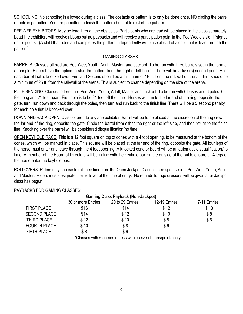SCHOOLING: No schooling is allowed during a class. The obstacle or pattern is to only be done once. NO circling the barrel or pole is permitted. You are permitted to finish the pattern but not to restart the pattern.

PEE WEE EXHIBITORS: May be lead through the obstacles. Participants who are lead will be placed in the class separately. Lead line exhibitors will receive ribbons but no paybacks and will receive a participation point in the Pee Wee division if signed up for points. (A child that rides and completes the pattern independently will place ahead of a child that is lead through the pattern.)

#### GAMING CLASSES

BARRELS: Classes offered are Pee Wee, Youth, Adult, Master, and Jackpot. To be run with three barrels set in the form of a triangle. Riders have the option to start the pattern from the right or left barrel. There will be a five (5) second penalty for each barrel that is knocked over. First and Second should be a minimum of 18 ft. from the rail/wall of arena. Third should be a minimum of 25 ft. from the rail/wall of the arena. This is subject to change depending on the size of the arena.

POLE BENDING: Classes offered are Pee Wee, Youth, Adult, Master and Jackpot. To be run with 6 bases and 6 poles, 6 feet long and 21 feet apart. First pole is to be 21 feet off the timer. Horses will run to the far end of the ring, opposite the gate, turn, run down and back through the poles, then turn and run back to the finish line. There will be a 5 second penalty for each pole that is knocked over.

DOWN AND BACK OPEN: Class offered to any age exhibitor. Barrel will be to be placed at the discretion of the ring crew, at the far end of the ring, opposite the gate. Circle the barrel from either the right or the left side, and then return to the finish line. Knocking over the barrel will be considered disqualification/no time.

OPEN KEYHOLE RACE: This is a 12 foot square on top of cones with a 4 foot opening, to be measured at the bottom of the cones, which will be marked in place. This square will be placed at the far end of the ring, opposite the gate. All four legs of the horse must enter and leave through the 4 foot opening. A knocked cone or board will be an automatic disqualification/no time. A member of the Board of Directors will be in line with the keyhole box on the outside of the rail to ensure all 4 legs of the horse enter the keyhole box.

ROLLOVERS: Riders may choose to roll their time from the Open Jackpot Class to their age division; Pee Wee, Youth, Adult, and Master. Riders must designate their rollover at the time of entry. No refunds for age divisions will be given after Jackpot class has begun.

#### PAYBACKS FOR GAMING CLASSES:

| <b>Gaming Class Payback (Non-Jackpot)</b> |                    |                  |               |              |  |
|-------------------------------------------|--------------------|------------------|---------------|--------------|--|
|                                           | 30 or more Entries | 20 to 29 Entries | 12-19 Entries | 7-11 Entries |  |
| <b>FIRST PLACE</b>                        | \$16               | \$14             | \$12          | \$10         |  |
| <b>SECOND PLACE</b>                       | \$14               | \$12             | \$10          | \$8          |  |
| THIRD PLACE                               | \$12               | \$10             | \$8           | \$6          |  |
| <b>FOURTH PLACE</b>                       | \$10               | \$8              | \$6           |              |  |
| <b>FIFTH PLACE</b>                        | \$8                | \$6              |               |              |  |

\*Classes with 6 entries or less will receive ribbons/points only.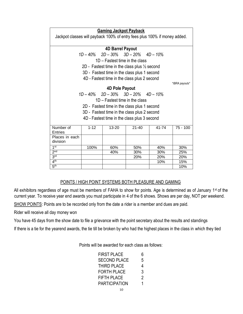| <b>Gaming Jackpot Payback</b>                                             |          |                                  |                                                          |       |                |
|---------------------------------------------------------------------------|----------|----------------------------------|----------------------------------------------------------|-------|----------------|
| Jackpot classes will payback 100% of entry fees plus 100% if money added. |          |                                  |                                                          |       |                |
|                                                                           |          | 4D Barrel Payout                 |                                                          |       |                |
|                                                                           |          |                                  | $1D - 40\%$ $2D - 30\%$ $3D - 20\%$ $4D - 10\%$          |       |                |
|                                                                           |          | 1D – Fastest time in the class   |                                                          |       |                |
|                                                                           |          |                                  | 2D - Fastest time in the class plus $\frac{1}{2}$ second |       |                |
|                                                                           |          |                                  |                                                          |       |                |
|                                                                           |          |                                  | 3D - Fastest time in the class plus 1 second             |       |                |
|                                                                           |          |                                  | 4D - Fastest time in the class plus 2 second             |       |                |
|                                                                           |          |                                  |                                                          |       | *IBRA payouts* |
|                                                                           |          | <b>4D Pole Payout</b>            |                                                          |       |                |
|                                                                           |          |                                  | $1D - 40\%$ $2D - 30\%$ $3D - 20\%$ $4D - 10\%$          |       |                |
|                                                                           |          | $1D$ – Fastest time in the class |                                                          |       |                |
| 2D - Fastest time in the class plus 1 second                              |          |                                  |                                                          |       |                |
|                                                                           |          |                                  |                                                          |       |                |
| 3D - Fastest time in the class plus 2 second                              |          |                                  |                                                          |       |                |
| 4D - Fastest time in the class plus 3 second                              |          |                                  |                                                          |       |                |
| Number of                                                                 | $1 - 12$ | 13-20                            | $21 - 40$                                                | 41-74 | $75 - 100$     |
| Entries                                                                   |          |                                  |                                                          |       |                |
| Places in each                                                            |          |                                  |                                                          |       |                |
| division                                                                  |          |                                  |                                                          |       |                |
| 1 <sup>st</sup>                                                           | 100%     | 60%                              | 50%                                                      | 40%   | 30%            |
| 2 <sub>nd</sub>                                                           |          | 40%                              | 30%                                                      | 30%   | 25%            |
| 3 <sup>rd</sup>                                                           |          |                                  | 20%                                                      | 20%   | 20%            |
| 4 <sup>th</sup>                                                           |          |                                  |                                                          | 10%   | 15%            |
| 5 <sup>th</sup>                                                           |          |                                  |                                                          |       | 10%            |

#### POINTS / HIGH POINT SYSTEMS BOTH PLEASURE AND GAMING

All exhibitors regardless of age must be members of FAHA to show for points. Age is determined as of January 1<sup>st</sup> of the current year. To receive year end awards you must participate in 4 of the 6 shows. Shows are per day, NOT per weekend.

SHOW POINTS: Points are to be recorded only from the date a rider is a member and dues are paid.

Rider will receive all day money won

You have 45 days from the show date to file a grievance with the point secretary about the results and standings

If there is a tie for the yearend awards, the tie till be broken by who had the highest places in the class in which they tied

Points will be awarded for each class as follows:

| <b>FIRST PLACE</b>   | 6 |
|----------------------|---|
| <b>SECOND PLACE</b>  | 5 |
| <b>THIRD PLACE</b>   | 4 |
| <b>FORTH PLACE</b>   | 3 |
| <b>FIFTH PLACE</b>   | 2 |
| <b>PARTICIPATION</b> | 1 |